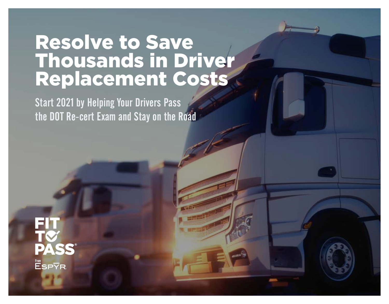### Resolve to Save Thousands in Driver Replacement Costs

Start 2021 by Helping Your Drivers Pass the DOT Re-cert Exam and Stay on the Road

**PASS** From<br>ESPYR.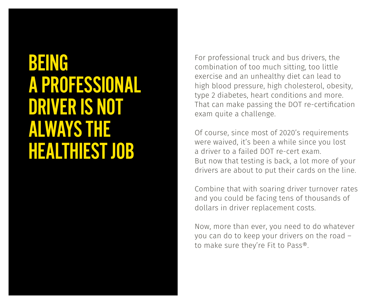### BEING A PROFESSIONAL DRIVER IS NOT ALWAYS THE HEALTHIEST JOB

For professional truck and bus drivers, the combination of too much sitting, too little exercise and an unhealthy diet can lead to high blood pressure, high cholesterol, obesity, type 2 diabetes, heart conditions and more. That can make passing the DOT re-certification exam quite a challenge.

Of course, since most of 2020's requirements were waived, it's been a while since you lost a driver to a failed DOT re-cert exam. But now that testing is back, a lot more of your drivers are about to put their cards on the line.

Combine that with soaring driver turnover rates and you could be facing tens of thousands of dollars in driver replacement costs.

Now, more than ever, you need to do whatever you can do to keep your drivers on the road – to make sure they're Fit to Pass®.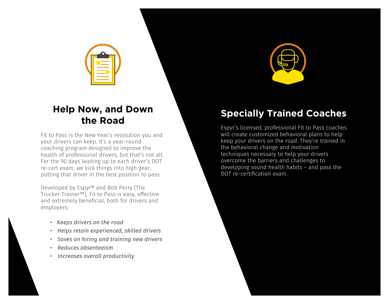

### **Help Now, and Down the Road**

Fit to Pass is the New Year's resolution you and your drivers can keep. It's a year-round coaching program designed to improve the health of professional drivers, but that's not all. For the 90 days leading up to each driver's DOT re-cert exam, we kick things into high gear, putting that driver in the best position to pass.

Developed by Espyr® and Bob Perry (The Trucker Trainer™), Fit to Pass is easy, effective and extremely beneficial, both for drivers and employers:

- *Keeps drivers on the road*
- *Helps retain experienced, skilled drivers*
- *Saves on hiring and training new drivers*
- *Reduces absenteeism*
- *Increases overall productivity*



### **Specially Trained Coaches**

Espyr's licensed, professional Fit to Pass coaches will create customized behavioral plans to help keep your drivers on the road. They're trained in the behavioral change and motivation techniques necessary to help your drivers overcome the barriers and challenges to developing sound health habits – and pass the DOT re-certification exam.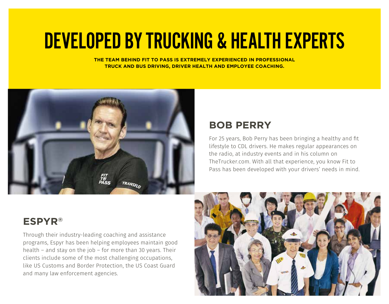# DEVELOPED BY TRUCKING & HEALTH EXPERTS

**THE TEAM BEHIND FIT TO PASS IS EXTREMELY EXPERIENCED IN PROFESSIONAL TRUCK AND BUS DRIVING, DRIVER HEALTH AND EMPLOYEE COACHING.**



### **BOB PERRY**

For 25 years, Bob Perry has been bringing a healthy and fit lifestyle to CDL drivers. He makes regular appearances on the radio, at industry events and in his column on TheTrucker.com. With all that experience, you know Fit to Pass has been developed with your drivers' needs in mind.

### **ESPYR®**

Through their industry-leading coaching and assistance programs, Espyr has been helping employees maintain good health – and stay on the job – for more than 30 years. Their clients include some of the most challenging occupations, like US Customs and Border Protection, the US Coast Guard and many law enforcement agencies.

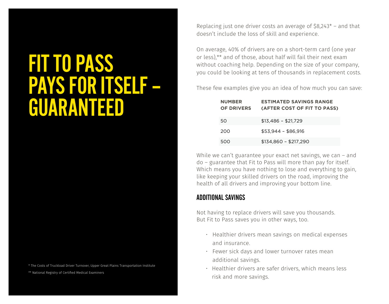## FIT TO PASS PAYS FOR ITSELF – GUARANTEED

\* The Costs of Truckload Driver Turnover, Upper Great Plains Transportation Institute

\*\* National Registry of Certified Medical Examiners

Replacing just one driver costs an average of \$8,243\* – and that doesn't include the loss of skill and experience.

On average, 40% of drivers are on a short-term card (one year or less),\*\* and of those, about half will fail their next exam without coaching help. Depending on the size of your company, you could be looking at tens of thousands in replacement costs.

These few examples give you an idea of how much you can save:

| <b>NUMBER</b><br>OF DRIVERS | <b>ESTIMATED SAVINGS RANGE</b><br>(AFTER COST OF FIT TO PASS) |
|-----------------------------|---------------------------------------------------------------|
| 50                          | $$13,486 - $21,729$                                           |
| 200                         | $$53,944 - $86,916$                                           |
| 500                         | $$134,860 - $217,290$                                         |

While we can't guarantee your exact net savings, we can – and do – guarantee that Fit to Pass will more than pay for itself. Which means you have nothing to lose and everything to gain, like keeping your skilled drivers on the road, improving the health of all drivers and improving your bottom line.

#### ADDITIONAL SAVINGS

Not having to replace drivers will save you thousands. But Fit to Pass saves you in other ways, too.

- Healthier drivers mean savings on medical expenses and insurance.
- Fewer sick days and lower turnover rates mean additional savings.
- Healthier drivers are safer drivers, which means less risk and more savings.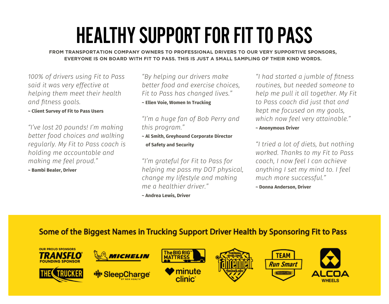# HEALTHY SUPPORT FOR FIT TO PASS

**FROM TRANSPORTATION COMPANY OWNERS TO PROFESSIONAL DRIVERS TO OUR VERY SUPPORTIVE SPONSORS, EVERYONE IS ON BOARD WITH FIT TO PASS. THIS IS JUST A SMALL SAMPLING OF THEIR KIND WORDS.**

*100% of drivers using Fit to Pass said it was very effective at helping them meet their health ŔȢƌ-˩ʄȢƟɷɷ-NJȲŔȊɷࡲ*

**~ Client Survey of Fit to Pass Users**

*"I've lost 20 pounds! I'm making better food choices and walking regularly. My Fit to Pass coach is holding me accountable and ȜŔȄǨȢNJ-ȜƟ-LJƟƟȊ-ɝɧȲʙƌࢨࡲ*

**~ Bambi Bealer, Driver**

*"By helping our drivers make better food and exercise choices, `Ǩʄ-ʄȲ-ÚŔɷɷ-ǝŔɷ-ƂǝŔȢNJƟƌ-ȊǨʶƟɷࢨࡲ* **~ Ellen Voie, Women In Trucking**

#### *"I'm a huge fan of Bob Perry and ʄǝǨɷ-ɝɧȲNJɧŔȜࢨࡲ*

**~ Al Smith, Greyhound Corporate Director of Safety and Security**

*"I'm grateful for Fit to Pass for helping me pass my DOT physical, change my lifestyle and making ȜƟ-Ŕ-ǝƟŔȊʄǝǨƟɧ-ƌɧǨʶƟɧࢨࡲ*

**~ Andrea Lewis, Driver**

*"I had started a jumble of fitness routines, but needed someone to kelp me pull it all together. My Fit to Pass coach did just that and kept me focused on my goals, ʺǝǨƂǝ-ȢȲʺ-LJƟƟȊ-ʶƟɧ˃-ŔʄʄŔǨȢŔŸȊƟࢨࡲ* **~ Anonymous Driver**

*"I tried a lot of diets, but nothing ʺȲɧȄƟƌࡲ-õǝŔȢȄɷ-ʄȲ-Ȝ˃-`Ǩʄ-ʄȲ-ÚŔɷɷ coach, I now feel I can achieve ŔȢ˃ʄǝǨȢNJ-w-ɷƟʄ-Ȝ˃-ȜǨȢƌ-ʄȲࡲ-w-LJƟƟȊ- ȜʙƂǝ-ȜȲɧƟ-ɷʙƂƂƟɷɷLJʙȊࢨࡲ*

**~ Donna Anderson, Driver**

### **Some of the Biggest Names in Trucking Support Driver Health by Sponsoring Fit to Pass**

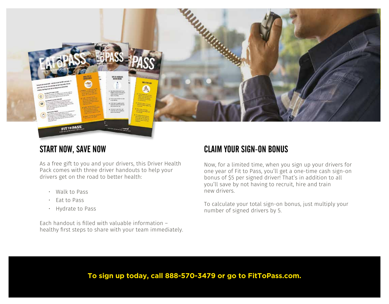

### START NOW, SAVE NOW

As a free gift to you and your drivers, this Driver Health Pack comes with three driver handouts to help your drivers get on the road to better health:

- Walk to Pass
- Eat to Pass
- Hydrate to Pass

Each handout is filled with valuable information – healthy first steps to share with your team immediately.

### CLAIM YOUR SIGN-ON BONUS

Now, for a limited time, when you sign up your drivers for one year of Fit to Pass, you'll get a one-time cash sign-on bonus of \$5 per signed driver! That's in addition to all you'll save by not having to recruit, hire and train new drivers.

To calculate your total sign-on bonus, just multiply your number of signed drivers by 5.

#### **To sign up today, call 888-570-3479 or go to FitToPass.com.**